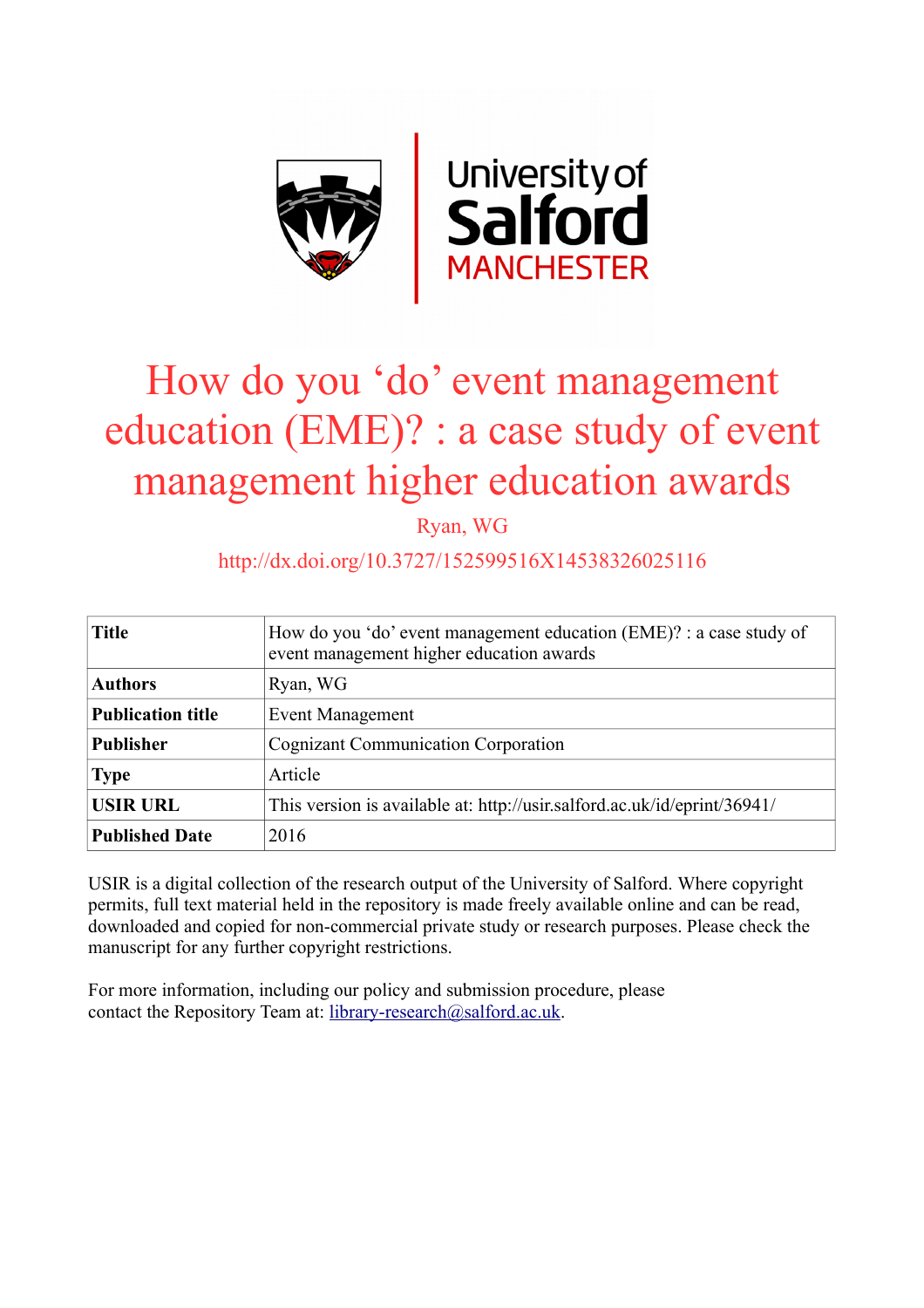

# How do you 'do' event management education (EME)? : a case study of event management higher education awards

Ryan, WG

# http://dx.doi.org/10.3727/152599516X14538326025116

| <b>Title</b>             | How do you 'do' event management education (EME)? : a case study of<br>event management higher education awards |
|--------------------------|-----------------------------------------------------------------------------------------------------------------|
| <b>Authors</b>           | Ryan, WG                                                                                                        |
| <b>Publication title</b> | <b>Event Management</b>                                                                                         |
| <b>Publisher</b>         | <b>Cognizant Communication Corporation</b>                                                                      |
| <b>Type</b>              | Article                                                                                                         |
| <b>USIR URL</b>          | This version is available at: http://usir.salford.ac.uk/id/eprint/36941/                                        |
| <b>Published Date</b>    | 2016                                                                                                            |

USIR is a digital collection of the research output of the University of Salford. Where copyright permits, full text material held in the repository is made freely available online and can be read, downloaded and copied for non-commercial private study or research purposes. Please check the manuscript for any further copyright restrictions.

For more information, including our policy and submission procedure, please contact the Repository Team at: [library-research@salford.ac.uk.](mailto:library-research@salford.ac.uk)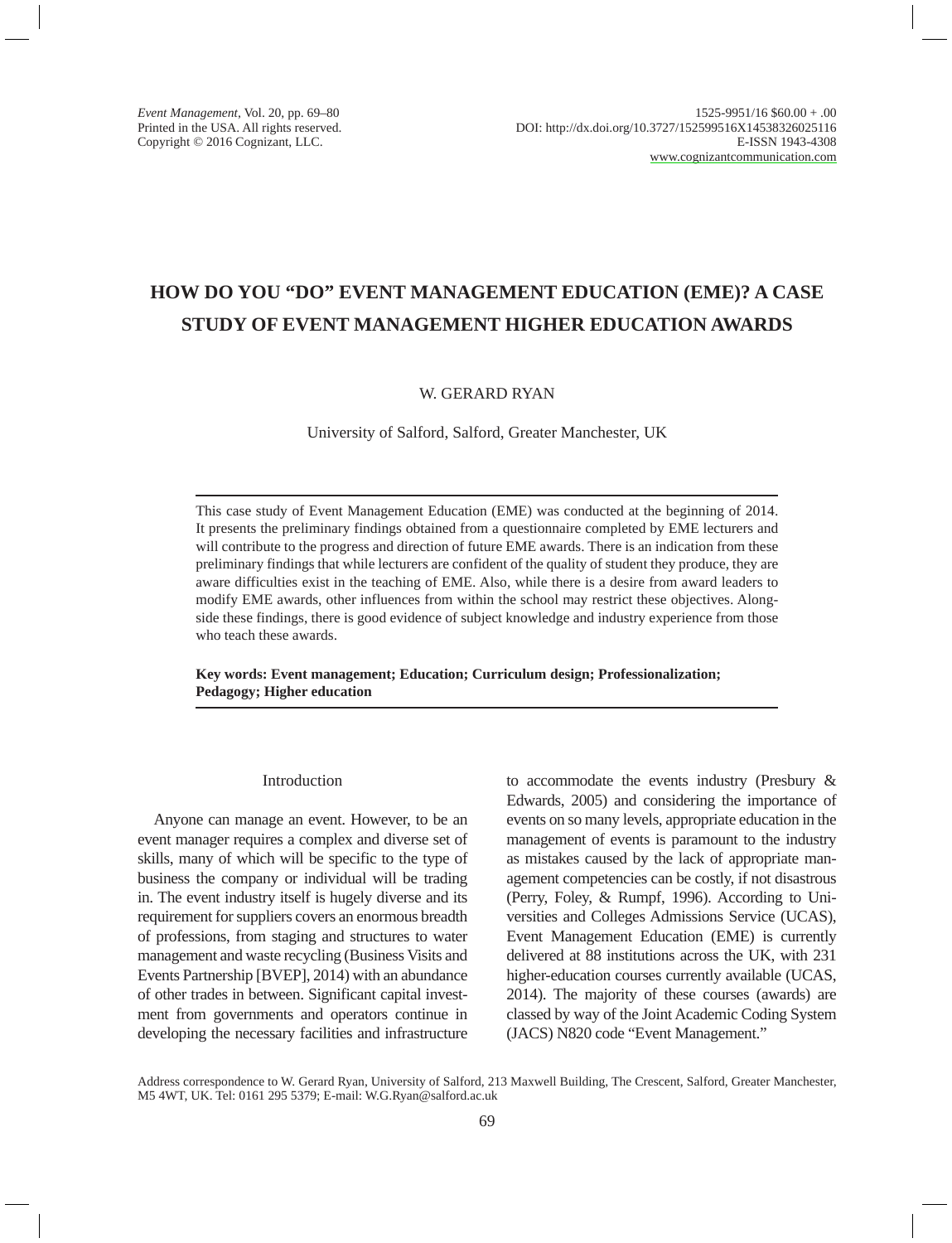# **HOW DO YOU "DO" EVENT MANAGEMENT EDUCATION (EME)? A CASE STUDY OF EVENT MANAGEMENT HIGHER EDUCATION AWARDS**

# W. GERARD RYAN

University of Salford, Salford, Greater Manchester, UK

This case study of Event Management Education (EME) was conducted at the beginning of 2014. It presents the preliminary findings obtained from a questionnaire completed by EME lecturers and will contribute to the progress and direction of future EME awards. There is an indication from these preliminary findings that while lecturers are confident of the quality of student they produce, they are aware difficulties exist in the teaching of EME. Also, while there is a desire from award leaders to modify EME awards, other influences from within the school may restrict these objectives. Alongside these findings, there is good evidence of subject knowledge and industry experience from those who teach these awards.

**Key words: Event management; Education; Curriculum design; Professionalization; Pedagogy; Higher education**

## Introduction

Anyone can manage an event. However, to be an event manager requires a complex and diverse set of skills, many of which will be specific to the type of business the company or individual will be trading in. The event industry itself is hugely diverse and its requirement for suppliers covers an enormous breadth of professions, from staging and structures to water management and waste recycling (Business Visits and Events Partnership [BVEP], 2014) with an abundance of other trades in between. Significant capital investment from governments and operators continue in developing the necessary facilities and infrastructure to accommodate the events industry (Presbury & Edwards, 2005) and considering the importance of events on so many levels, appropriate education in the management of events is paramount to the industry as mistakes caused by the lack of appropriate management competencies can be costly, if not disastrous (Perry, Foley, & Rumpf, 1996). According to Universities and Colleges Admissions Service (UCAS), Event Management Education (EME) is currently delivered at 88 institutions across the UK, with 231 higher-education courses currently available (UCAS, 2014). The majority of these courses (awards) are classed by way of the Joint Academic Coding System (JACS) N820 code "Event Management."

Address correspondence to W. Gerard Ryan, University of Salford, 213 Maxwell Building, The Crescent, Salford, Greater Manchester, M5 4WT, UK. Tel: 0161 295 5379; E-mail: W.G.Ryan@salford.ac.uk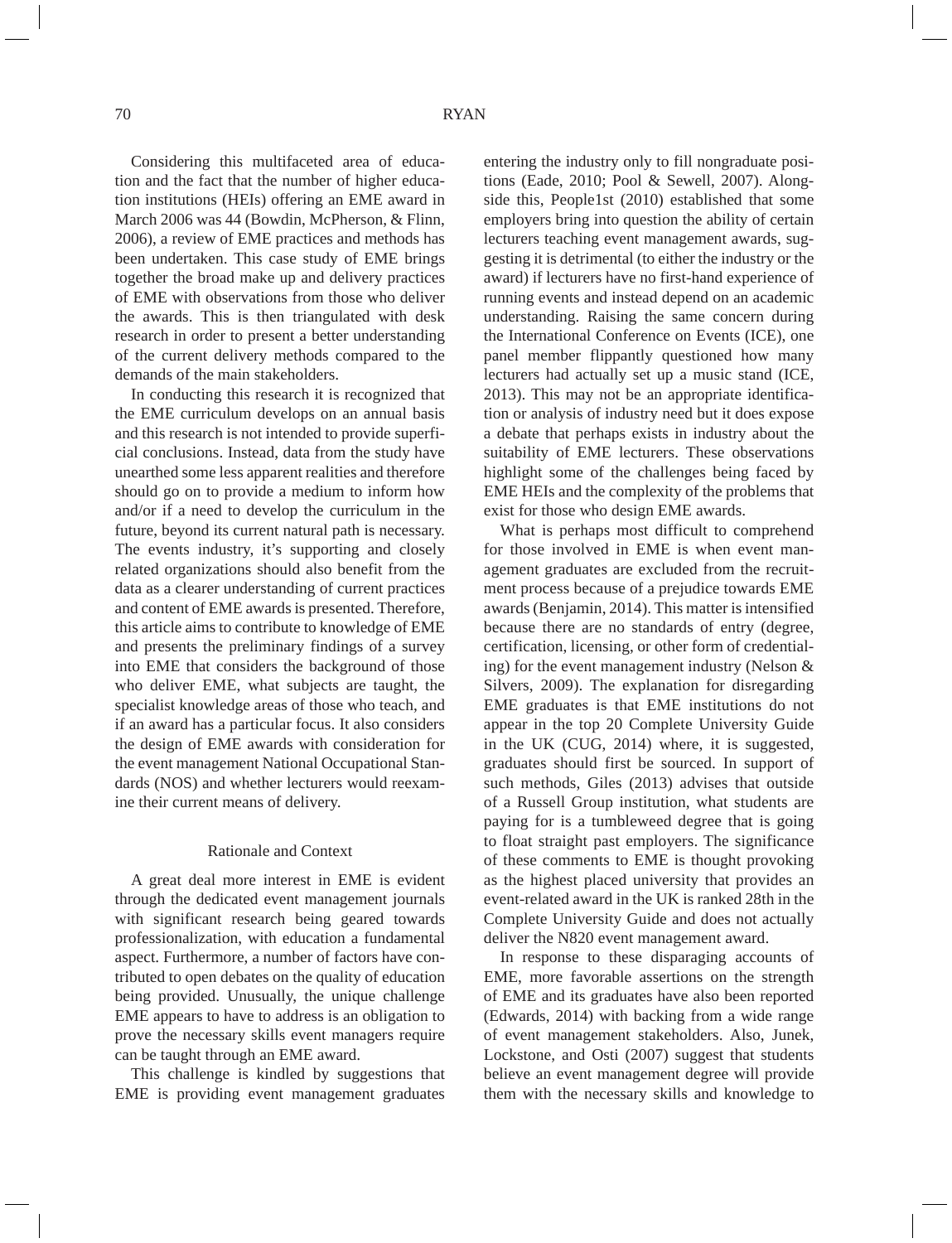Considering this multifaceted area of education and the fact that the number of higher education institutions (HEIs) offering an EME award in March 2006 was 44 (Bowdin, McPherson, & Flinn, 2006), a review of EME practices and methods has been undertaken. This case study of EME brings together the broad make up and delivery practices of EME with observations from those who deliver the awards. This is then triangulated with desk research in order to present a better understanding of the current delivery methods compared to the demands of the main stakeholders.

In conducting this research it is recognized that the EME curriculum develops on an annual basis and this research is not intended to provide superficial conclusions. Instead, data from the study have unearthed some less apparent realities and therefore should go on to provide a medium to inform how and/or if a need to develop the curriculum in the future, beyond its current natural path is necessary. The events industry, it's supporting and closely related organizations should also benefit from the data as a clearer understanding of current practices and content of EME awards is presented. Therefore, this article aims to contribute to knowledge of EME and presents the preliminary findings of a survey into EME that considers the background of those who deliver EME, what subjects are taught, the specialist knowledge areas of those who teach, and if an award has a particular focus. It also considers the design of EME awards with consideration for the event management National Occupational Standards (NOS) and whether lecturers would reexamine their current means of delivery.

#### Rationale and Context

A great deal more interest in EME is evident through the dedicated event management journals with significant research being geared towards professionalization, with education a fundamental aspect. Furthermore, a number of factors have contributed to open debates on the quality of education being provided. Unusually, the unique challenge EME appears to have to address is an obligation to prove the necessary skills event managers require can be taught through an EME award.

This challenge is kindled by suggestions that EME is providing event management graduates entering the industry only to fill nongraduate positions (Eade, 2010; Pool & Sewell, 2007). Alongside this, People1st (2010) established that some employers bring into question the ability of certain lecturers teaching event management awards, suggesting it is detrimental (to either the industry or the award) if lecturers have no first-hand experience of running events and instead depend on an academic understanding. Raising the same concern during the International Conference on Events (ICE), one panel member flippantly questioned how many lecturers had actually set up a music stand (ICE, 2013). This may not be an appropriate identification or analysis of industry need but it does expose a debate that perhaps exists in industry about the suitability of EME lecturers. These observations highlight some of the challenges being faced by EME HEIs and the complexity of the problems that exist for those who design EME awards.

What is perhaps most difficult to comprehend for those involved in EME is when event management graduates are excluded from the recruitment process because of a prejudice towards EME awards (Benjamin, 2014). This matter is intensified because there are no standards of entry (degree, certification, licensing, or other form of credentialing) for the event management industry (Nelson & Silvers, 2009). The explanation for disregarding EME graduates is that EME institutions do not appear in the top 20 Complete University Guide in the UK (CUG, 2014) where, it is suggested, graduates should first be sourced. In support of such methods, Giles (2013) advises that outside of a Russell Group institution, what students are paying for is a tumbleweed degree that is going to float straight past employers. The significance of these comments to EME is thought provoking as the highest placed university that provides an event-related award in the UK is ranked 28th in the Complete University Guide and does not actually deliver the N820 event management award.

In response to these disparaging accounts of EME, more favorable assertions on the strength of EME and its graduates have also been reported (Edwards, 2014) with backing from a wide range of event management stakeholders. Also, Junek, Lockstone, and Osti (2007) suggest that students believe an event management degree will provide them with the necessary skills and knowledge to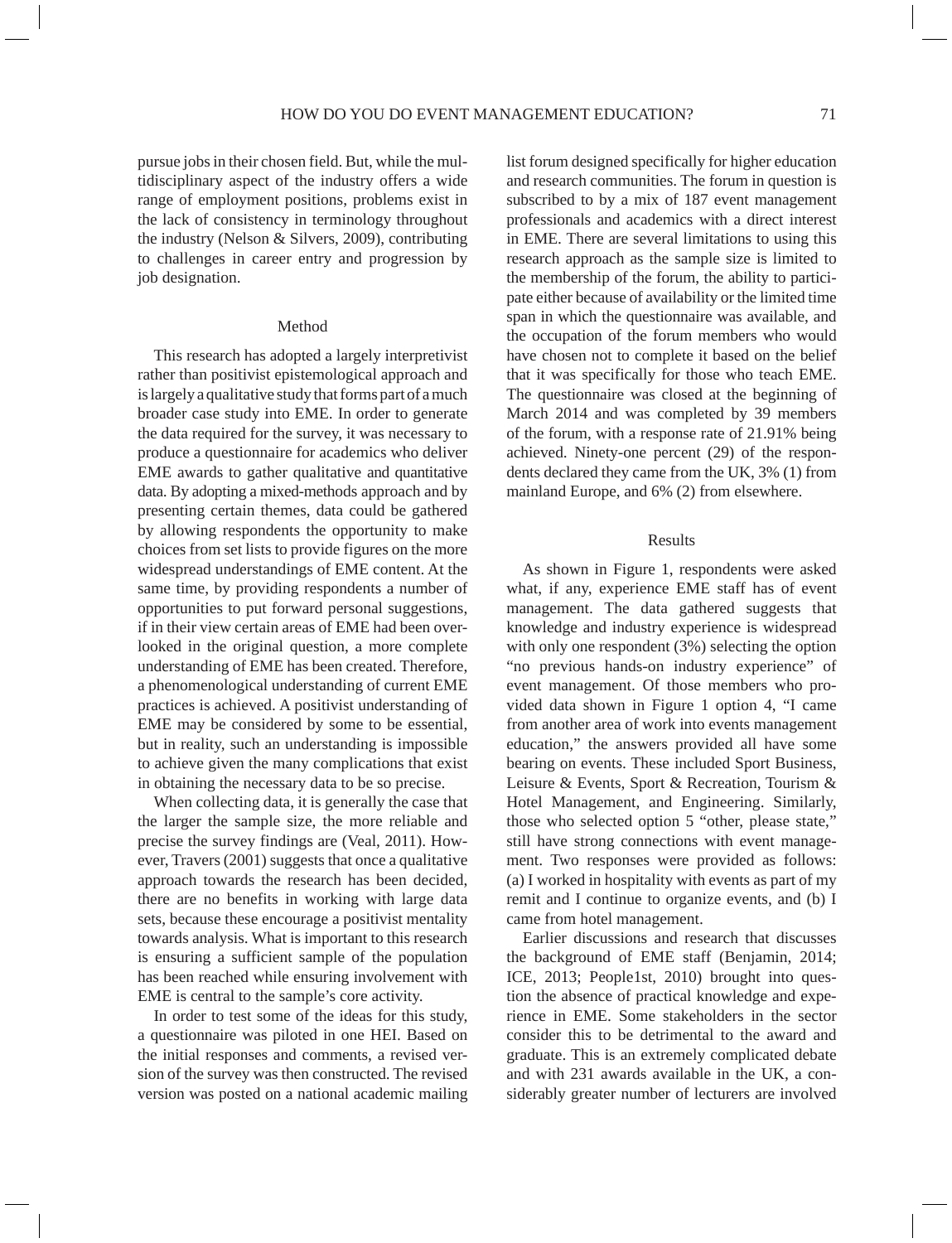pursue jobs in their chosen field. But, while the multidisciplinary aspect of the industry offers a wide range of employment positions, problems exist in the lack of consistency in terminology throughout the industry (Nelson & Silvers, 2009), contributing to challenges in career entry and progression by job designation.

## Method

This research has adopted a largely interpretivist rather than positivist epistemological approach and is largely a qualitative study that forms part of a much broader case study into EME. In order to generate the data required for the survey, it was necessary to produce a questionnaire for academics who deliver EME awards to gather qualitative and quantitative data. By adopting a mixed-methods approach and by presenting certain themes, data could be gathered by allowing respondents the opportunity to make choices from set lists to provide figures on the more widespread understandings of EME content. At the same time, by providing respondents a number of opportunities to put forward personal suggestions, if in their view certain areas of EME had been overlooked in the original question, a more complete understanding of EME has been created. Therefore, a phenomenological understanding of current EME practices is achieved. A positivist understanding of EME may be considered by some to be essential, but in reality, such an understanding is impossible to achieve given the many complications that exist in obtaining the necessary data to be so precise.

When collecting data, it is generally the case that the larger the sample size, the more reliable and precise the survey findings are (Veal, 2011). However, Travers (2001) suggests that once a qualitative approach towards the research has been decided, there are no benefits in working with large data sets, because these encourage a positivist mentality towards analysis. What is important to this research is ensuring a sufficient sample of the population has been reached while ensuring involvement with EME is central to the sample's core activity.

In order to test some of the ideas for this study, a questionnaire was piloted in one HEI. Based on the initial responses and comments, a revised version of the survey was then constructed. The revised version was posted on a national academic mailing list forum designed specifically for higher education and research communities. The forum in question is subscribed to by a mix of 187 event management professionals and academics with a direct interest in EME. There are several limitations to using this research approach as the sample size is limited to the membership of the forum, the ability to participate either because of availability or the limited time span in which the questionnaire was available, and the occupation of the forum members who would have chosen not to complete it based on the belief that it was specifically for those who teach EME. The questionnaire was closed at the beginning of March 2014 and was completed by 39 members of the forum, with a response rate of 21.91% being achieved. Ninety-one percent (29) of the respondents declared they came from the UK, 3% (1) from mainland Europe, and 6% (2) from elsewhere.

#### Results

As shown in Figure 1, respondents were asked what, if any, experience EME staff has of event management. The data gathered suggests that knowledge and industry experience is widespread with only one respondent (3%) selecting the option "no previous hands-on industry experience" of event management. Of those members who provided data shown in Figure 1 option 4, "I came from another area of work into events management education," the answers provided all have some bearing on events. These included Sport Business, Leisure & Events, Sport & Recreation, Tourism & Hotel Management, and Engineering. Similarly, those who selected option 5 "other, please state," still have strong connections with event management. Two responses were provided as follows: (a) I worked in hospitality with events as part of my remit and I continue to organize events, and (b) I came from hotel management.

Earlier discussions and research that discusses the background of EME staff (Benjamin, 2014; ICE, 2013; People1st, 2010) brought into question the absence of practical knowledge and experience in EME. Some stakeholders in the sector consider this to be detrimental to the award and graduate. This is an extremely complicated debate and with 231 awards available in the UK, a considerably greater number of lecturers are involved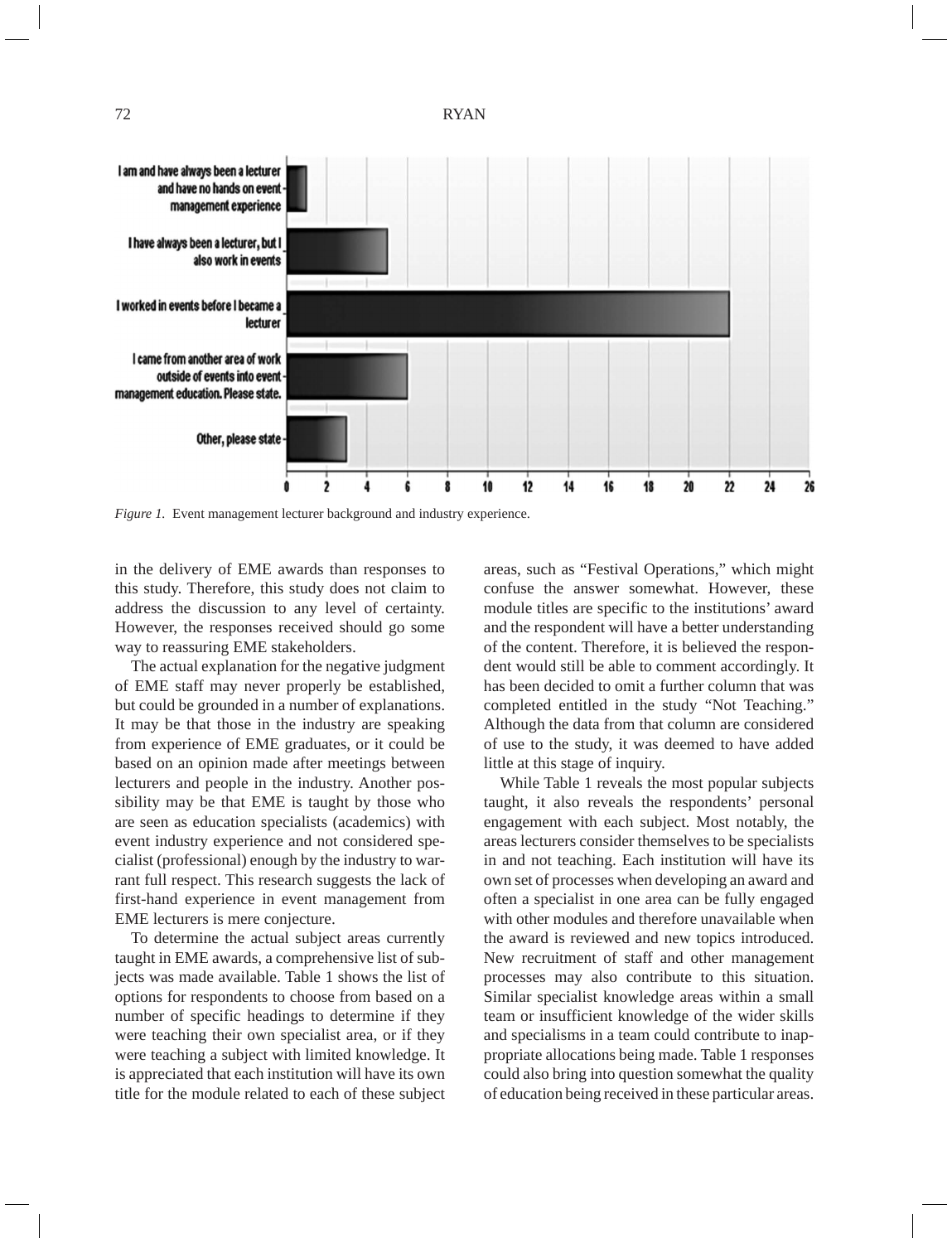

*Figure 1.* Event management lecturer background and industry experience.

in the delivery of EME awards than responses to this study. Therefore, this study does not claim to address the discussion to any level of certainty. However, the responses received should go some way to reassuring EME stakeholders.

The actual explanation for the negative judgment of EME staff may never properly be established, but could be grounded in a number of explanations. It may be that those in the industry are speaking from experience of EME graduates, or it could be based on an opinion made after meetings between lecturers and people in the industry. Another possibility may be that EME is taught by those who are seen as education specialists (academics) with event industry experience and not considered specialist (professional) enough by the industry to warrant full respect. This research suggests the lack of first-hand experience in event management from EME lecturers is mere conjecture.

To determine the actual subject areas currently taught in EME awards, a comprehensive list of subjects was made available. Table 1 shows the list of options for respondents to choose from based on a number of specific headings to determine if they were teaching their own specialist area, or if they were teaching a subject with limited knowledge. It is appreciated that each institution will have its own title for the module related to each of these subject

areas, such as "Festival Operations," which might confuse the answer somewhat. However, these module titles are specific to the institutions' award and the respondent will have a better understanding of the content. Therefore, it is believed the respondent would still be able to comment accordingly. It has been decided to omit a further column that was completed entitled in the study "Not Teaching." Although the data from that column are considered of use to the study, it was deemed to have added little at this stage of inquiry.

While Table 1 reveals the most popular subjects taught, it also reveals the respondents' personal engagement with each subject. Most notably, the areas lecturers consider themselves to be specialists in and not teaching. Each institution will have its own set of processes when developing an award and often a specialist in one area can be fully engaged with other modules and therefore unavailable when the award is reviewed and new topics introduced. New recruitment of staff and other management processes may also contribute to this situation. Similar specialist knowledge areas within a small team or insufficient knowledge of the wider skills and specialisms in a team could contribute to inappropriate allocations being made. Table 1 responses could also bring into question somewhat the quality of education being received in these particular areas.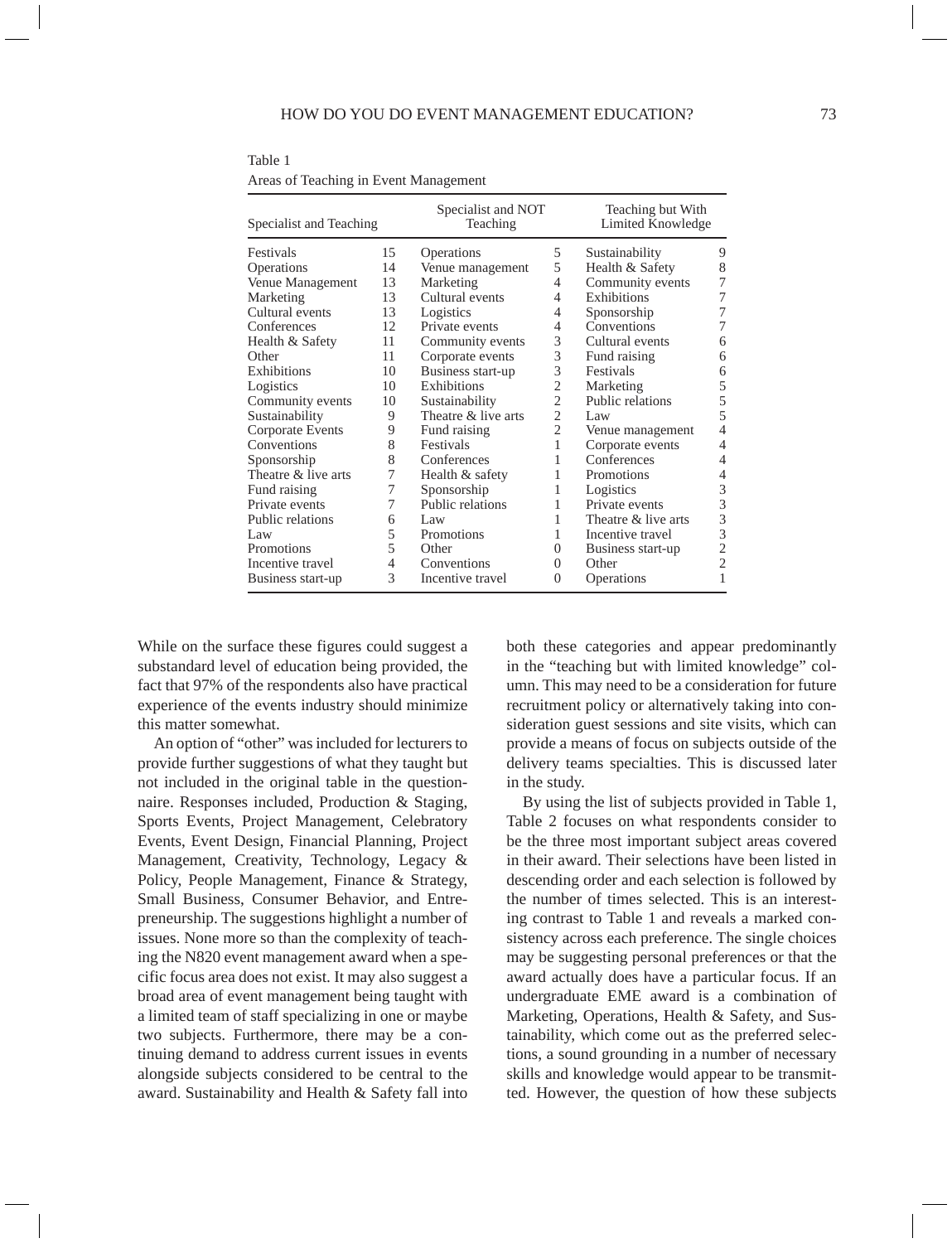| Specialist and Teaching |    | Specialist and NOT<br>Teaching |                | Teaching but With<br>Limited Knowledge |                |  |
|-------------------------|----|--------------------------------|----------------|----------------------------------------|----------------|--|
| Festivals               | 15 | Operations                     | 5              | Sustainability                         | 9              |  |
| Operations              | 14 | Venue management               | 5              | Health & Safety                        | 8              |  |
| Venue Management        | 13 | Marketing                      | 4              | Community events                       | 7              |  |
| Marketing               | 13 | Cultural events                | 4              | <b>Exhibitions</b>                     | 7              |  |
| Cultural events         | 13 | Logistics                      | 4              | Sponsorship                            | 7              |  |
| Conferences             | 12 | Private events                 | 4              | Conventions                            | 7              |  |
| Health & Safety         | 11 | Community events               | 3              | Cultural events                        | 6              |  |
| Other                   | 11 | Corporate events               | 3              | Fund raising                           | 6              |  |
| Exhibitions             | 10 | Business start-up              | 3              | Festivals                              | 6              |  |
| Logistics               | 10 | <b>Exhibitions</b>             | $\overline{c}$ | Marketing                              | 5              |  |
| Community events        | 10 | Sustainability                 | $\overline{c}$ | Public relations                       | 5              |  |
| Sustainability          | 9  | Theatre & live arts            | $\overline{2}$ | Law                                    | 5              |  |
| Corporate Events        | 9  | Fund raising                   | $\overline{c}$ | Venue management                       | $\overline{4}$ |  |
| Conventions             | 8  | Festivals                      | 1              | Corporate events                       | 4              |  |
| Sponsorship             | 8  | Conferences                    | 1              | Conferences                            | 4              |  |
| Theatre & live arts     | 7  | Health & safety                | 1              | <b>Promotions</b>                      | 4              |  |
| Fund raising            | 7  | Sponsorship                    | 1              | Logistics                              | 3              |  |
| Private events          | 7  | Public relations               | 1              | Private events                         | 3              |  |
| Public relations        | 6  | Law                            | 1              | Theatre & live arts                    | 3              |  |
| Law                     | 5  | <b>Promotions</b>              | 1              | Incentive travel                       | 3              |  |
| Promotions              | 5  | Other                          | $\Omega$       | Business start-up                      | $\overline{2}$ |  |
| Incentive travel        | 4  | Conventions                    | $\Omega$       | Other                                  | $\overline{2}$ |  |
| Business start-up       | 3  | Incentive travel               | 0              | Operations                             | 1              |  |

Table 1 Areas of Teaching in Event Management

While on the surface these figures could suggest a substandard level of education being provided, the fact that 97% of the respondents also have practical experience of the events industry should minimize this matter somewhat.

An option of "other" was included for lecturers to provide further suggestions of what they taught but not included in the original table in the questionnaire. Responses included, Production & Staging, Sports Events, Project Management, Celebratory Events, Event Design, Financial Planning, Project Management, Creativity, Technology, Legacy & Policy, People Management, Finance & Strategy, Small Business, Consumer Behavior, and Entrepreneurship. The suggestions highlight a number of issues. None more so than the complexity of teaching the N820 event management award when a specific focus area does not exist. It may also suggest a broad area of event management being taught with a limited team of staff specializing in one or maybe two subjects. Furthermore, there may be a continuing demand to address current issues in events alongside subjects considered to be central to the award. Sustainability and Health & Safety fall into both these categories and appear predominantly in the "teaching but with limited knowledge" column. This may need to be a consideration for future recruitment policy or alternatively taking into consideration guest sessions and site visits, which can provide a means of focus on subjects outside of the delivery teams specialties. This is discussed later in the study.

By using the list of subjects provided in Table 1, Table 2 focuses on what respondents consider to be the three most important subject areas covered in their award. Their selections have been listed in descending order and each selection is followed by the number of times selected. This is an interesting contrast to Table 1 and reveals a marked consistency across each preference. The single choices may be suggesting personal preferences or that the award actually does have a particular focus. If an undergraduate EME award is a combination of Marketing, Operations, Health & Safety, and Sustainability, which come out as the preferred selections, a sound grounding in a number of necessary skills and knowledge would appear to be transmitted. However, the question of how these subjects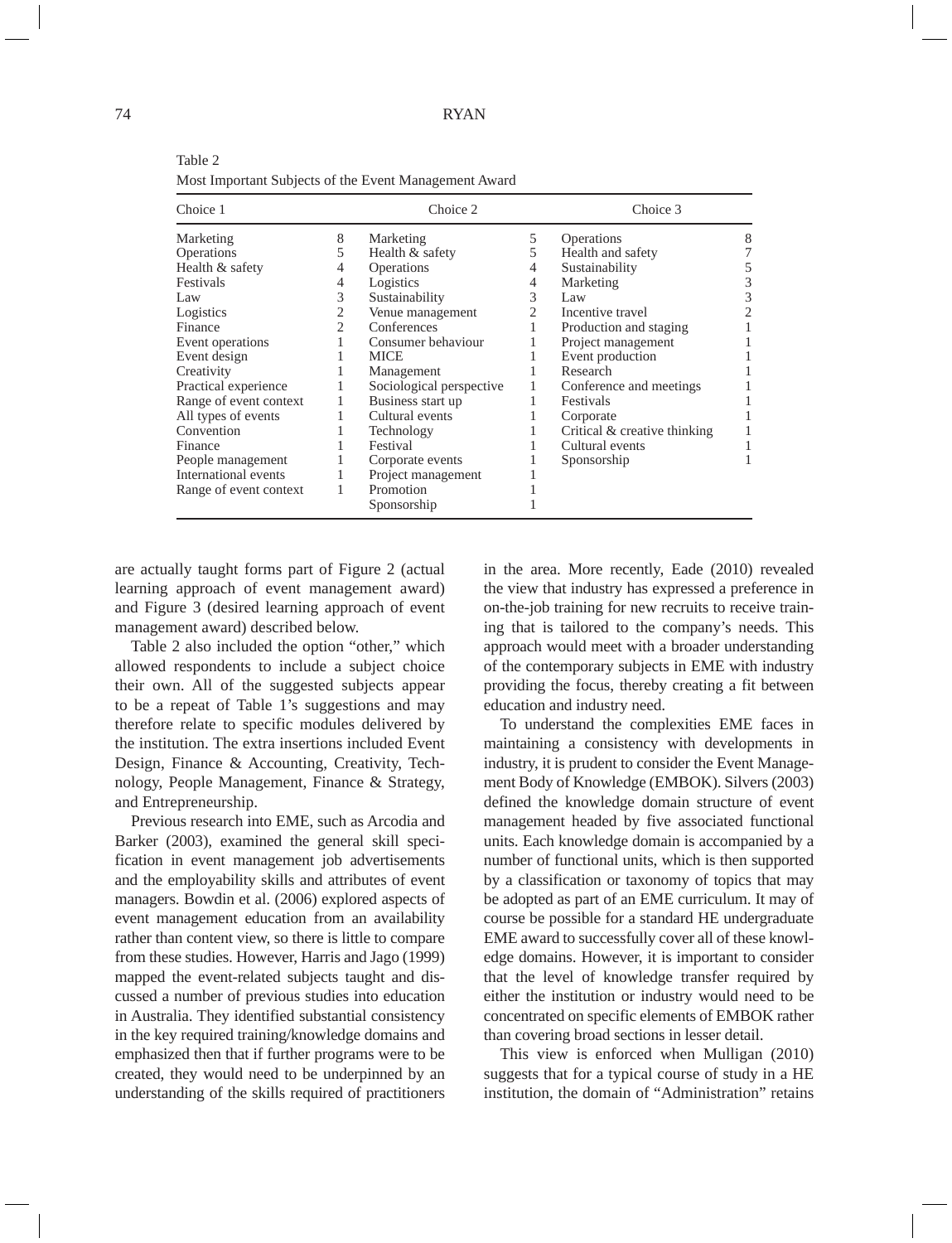### $74$  RY

| Choice 1               |   | Choice 2                 |   | Choice 3                     |   |  |
|------------------------|---|--------------------------|---|------------------------------|---|--|
| Marketing              | 8 | Marketing                | 5 | Operations                   | 8 |  |
| <b>Operations</b>      | 5 | Health & safety          | 5 | Health and safety            |   |  |
| Health & safety        | 4 | Operations               | 4 | Sustainability               |   |  |
| Festivals              | 4 | Logistics                | 4 | Marketing                    | 3 |  |
| Law                    | 3 | Sustainability           | 3 | Law                          | 3 |  |
| Logistics              |   | Venue management         | 2 | Incentive travel             |   |  |
| Finance                | 2 | Conferences              |   | Production and staging       |   |  |
| Event operations       |   | Consumer behaviour       |   | Project management           |   |  |
| Event design           |   | <b>MICE</b>              |   | Event production             |   |  |
| Creativity             |   | Management               |   | Research                     |   |  |
| Practical experience   |   | Sociological perspective |   | Conference and meetings      |   |  |
| Range of event context |   | Business start up        |   | Festivals                    |   |  |
| All types of events    |   | Cultural events          |   | Corporate                    |   |  |
| Convention             |   | Technology               |   | Critical & creative thinking |   |  |
| Finance                |   | Festival                 |   | Cultural events              |   |  |
| People management      |   | Corporate events         |   | Sponsorship                  |   |  |
| International events   |   | Project management       |   |                              |   |  |
| Range of event context |   | Promotion                |   |                              |   |  |
|                        |   | Sponsorship              |   |                              |   |  |

Table 2 Most Important Subjects of the Event Management Award

are actually taught forms part of Figure 2 (actual learning approach of event management award) and Figure 3 (desired learning approach of event management award) described below.

Table 2 also included the option "other," which allowed respondents to include a subject choice their own. All of the suggested subjects appear to be a repeat of Table 1's suggestions and may therefore relate to specific modules delivered by the institution. The extra insertions included Event Design, Finance & Accounting, Creativity, Technology, People Management, Finance & Strategy, and Entrepreneurship.

Previous research into EME, such as Arcodia and Barker (2003), examined the general skill specification in event management job advertisements and the employability skills and attributes of event managers. Bowdin et al. (2006) explored aspects of event management education from an availability rather than content view, so there is little to compare from these studies. However, Harris and Jago (1999) mapped the event-related subjects taught and discussed a number of previous studies into education in Australia. They identified substantial consistency in the key required training/knowledge domains and emphasized then that if further programs were to be created, they would need to be underpinned by an understanding of the skills required of practitioners

in the area. More recently, Eade (2010) revealed the view that industry has expressed a preference in on-the-job training for new recruits to receive training that is tailored to the company's needs. This approach would meet with a broader understanding of the contemporary subjects in EME with industry providing the focus, thereby creating a fit between education and industry need.

To understand the complexities EME faces in maintaining a consistency with developments in industry, it is prudent to consider the Event Management Body of Knowledge (EMBOK). Silvers (2003) defined the knowledge domain structure of event management headed by five associated functional units. Each knowledge domain is accompanied by a number of functional units, which is then supported by a classification or taxonomy of topics that may be adopted as part of an EME curriculum. It may of course be possible for a standard HE undergraduate EME award to successfully cover all of these knowledge domains. However, it is important to consider that the level of knowledge transfer required by either the institution or industry would need to be concentrated on specific elements of EMBOK rather than covering broad sections in lesser detail.

This view is enforced when Mulligan (2010) suggests that for a typical course of study in a HE institution, the domain of "Administration" retains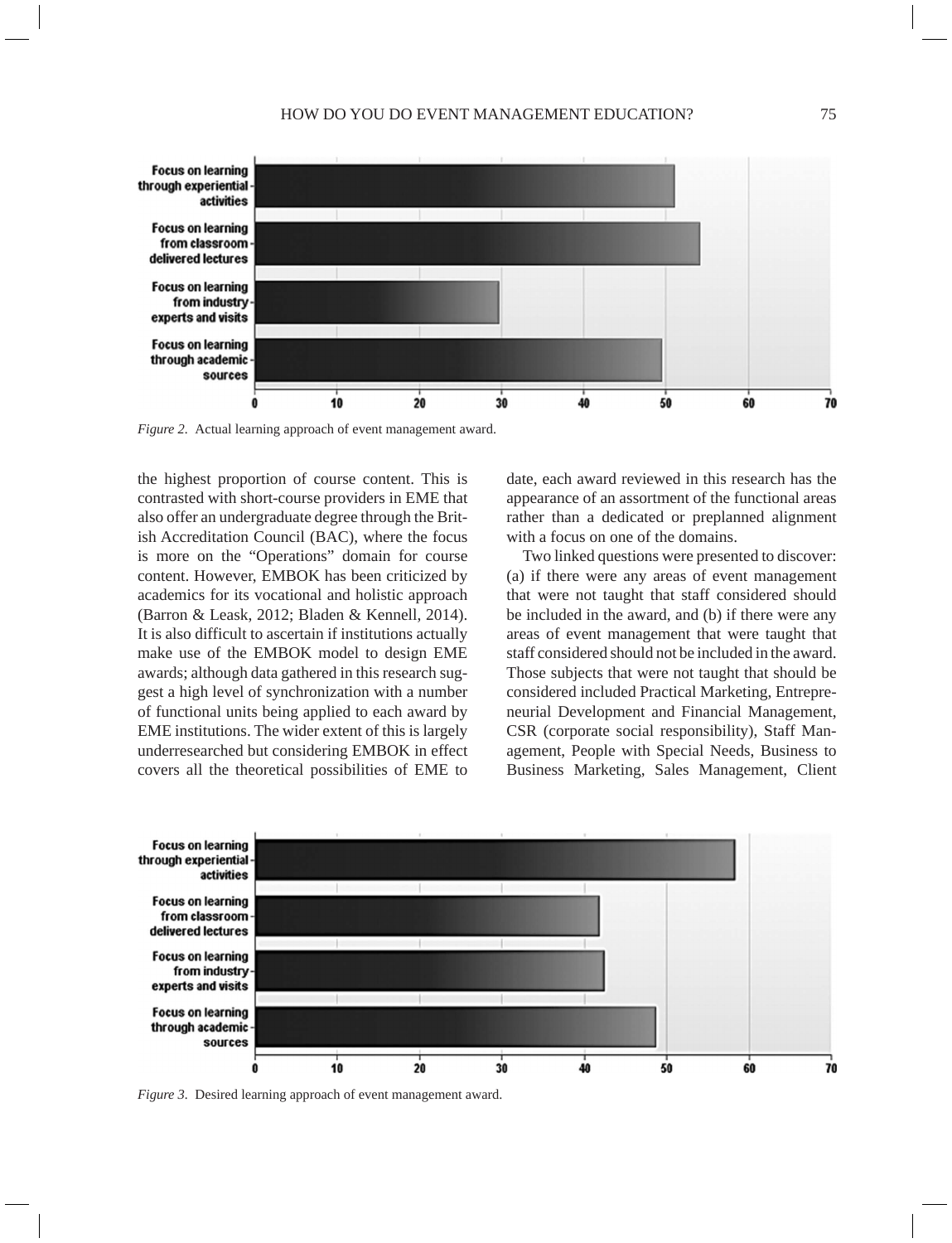

*Figure 2.* Actual learning approach of event management award.

the highest proportion of course content. This is contrasted with short-course providers in EME that also offer an undergraduate degree through the British Accreditation Council (BAC), where the focus is more on the "Operations" domain for course content. However, EMBOK has been criticized by academics for its vocational and holistic approach (Barron & Leask, 2012; Bladen & Kennell, 2014). It is also difficult to ascertain if institutions actually make use of the EMBOK model to design EME awards; although data gathered in this research suggest a high level of synchronization with a number of functional units being applied to each award by EME institutions. The wider extent of this is largely underresearched but considering EMBOK in effect covers all the theoretical possibilities of EME to date, each award reviewed in this research has the appearance of an assortment of the functional areas rather than a dedicated or preplanned alignment with a focus on one of the domains.

Two linked questions were presented to discover: (a) if there were any areas of event management that were not taught that staff considered should be included in the award, and (b) if there were any areas of event management that were taught that staff considered should not be included in the award. Those subjects that were not taught that should be considered included Practical Marketing, Entrepreneurial Development and Financial Management, CSR (corporate social responsibility), Staff Management, People with Special Needs, Business to Business Marketing, Sales Management, Client



*Figure 3.* Desired learning approach of event management award.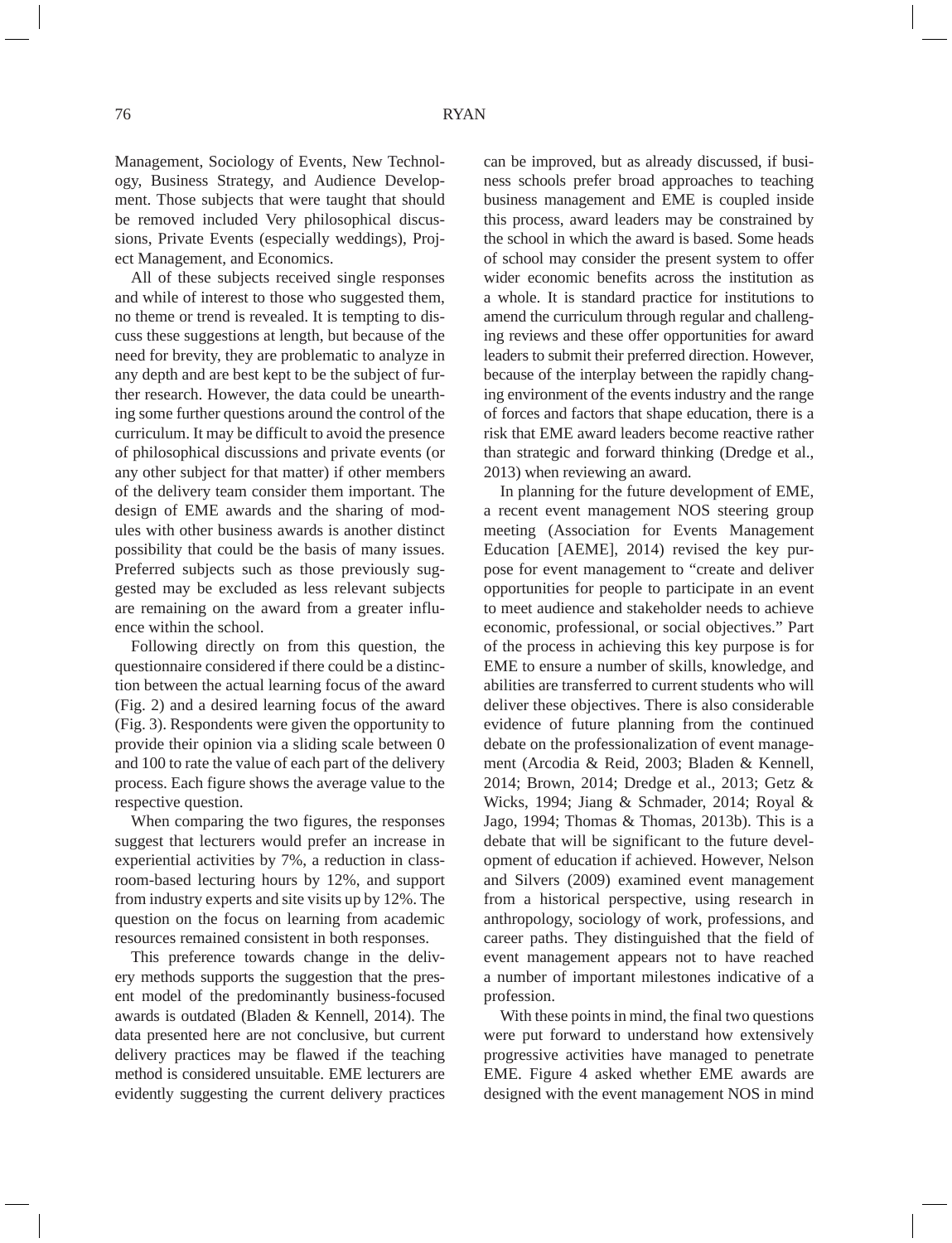Management, Sociology of Events, New Technology, Business Strategy, and Audience Development. Those subjects that were taught that should be removed included Very philosophical discussions, Private Events (especially weddings), Project Management, and Economics.

All of these subjects received single responses and while of interest to those who suggested them, no theme or trend is revealed. It is tempting to discuss these suggestions at length, but because of the need for brevity, they are problematic to analyze in any depth and are best kept to be the subject of further research. However, the data could be unearthing some further questions around the control of the curriculum. It may be difficult to avoid the presence of philosophical discussions and private events (or any other subject for that matter) if other members of the delivery team consider them important. The design of EME awards and the sharing of modules with other business awards is another distinct possibility that could be the basis of many issues. Preferred subjects such as those previously suggested may be excluded as less relevant subjects are remaining on the award from a greater influence within the school.

Following directly on from this question, the questionnaire considered if there could be a distinction between the actual learning focus of the award (Fig. 2) and a desired learning focus of the award (Fig. 3). Respondents were given the opportunity to provide their opinion via a sliding scale between 0 and 100 to rate the value of each part of the delivery process. Each figure shows the average value to the respective question.

When comparing the two figures, the responses suggest that lecturers would prefer an increase in experiential activities by 7%, a reduction in classroom-based lecturing hours by 12%, and support from industry experts and site visits up by 12%. The question on the focus on learning from academic resources remained consistent in both responses.

This preference towards change in the delivery methods supports the suggestion that the present model of the predominantly business-focused awards is outdated (Bladen & Kennell, 2014). The data presented here are not conclusive, but current delivery practices may be flawed if the teaching method is considered unsuitable. EME lecturers are evidently suggesting the current delivery practices

can be improved, but as already discussed, if business schools prefer broad approaches to teaching business management and EME is coupled inside this process, award leaders may be constrained by the school in which the award is based. Some heads of school may consider the present system to offer wider economic benefits across the institution as a whole. It is standard practice for institutions to amend the curriculum through regular and challenging reviews and these offer opportunities for award leaders to submit their preferred direction. However, because of the interplay between the rapidly changing environment of the events industry and the range of forces and factors that shape education, there is a risk that EME award leaders become reactive rather than strategic and forward thinking (Dredge et al., 2013) when reviewing an award.

In planning for the future development of EME, a recent event management NOS steering group meeting (Association for Events Management Education [AEME], 2014) revised the key purpose for event management to "create and deliver opportunities for people to participate in an event to meet audience and stakeholder needs to achieve economic, professional, or social objectives." Part of the process in achieving this key purpose is for EME to ensure a number of skills, knowledge, and abilities are transferred to current students who will deliver these objectives. There is also considerable evidence of future planning from the continued debate on the professionalization of event management (Arcodia & Reid, 2003; Bladen & Kennell, 2014; Brown, 2014; Dredge et al., 2013; Getz & Wicks, 1994; Jiang & Schmader, 2014; Royal & Jago, 1994; Thomas & Thomas, 2013b). This is a debate that will be significant to the future development of education if achieved. However, Nelson and Silvers (2009) examined event management from a historical perspective, using research in anthropology, sociology of work, professions, and career paths. They distinguished that the field of event management appears not to have reached a number of important milestones indicative of a profession.

With these points in mind, the final two questions were put forward to understand how extensively progressive activities have managed to penetrate EME. Figure 4 asked whether EME awards are designed with the event management NOS in mind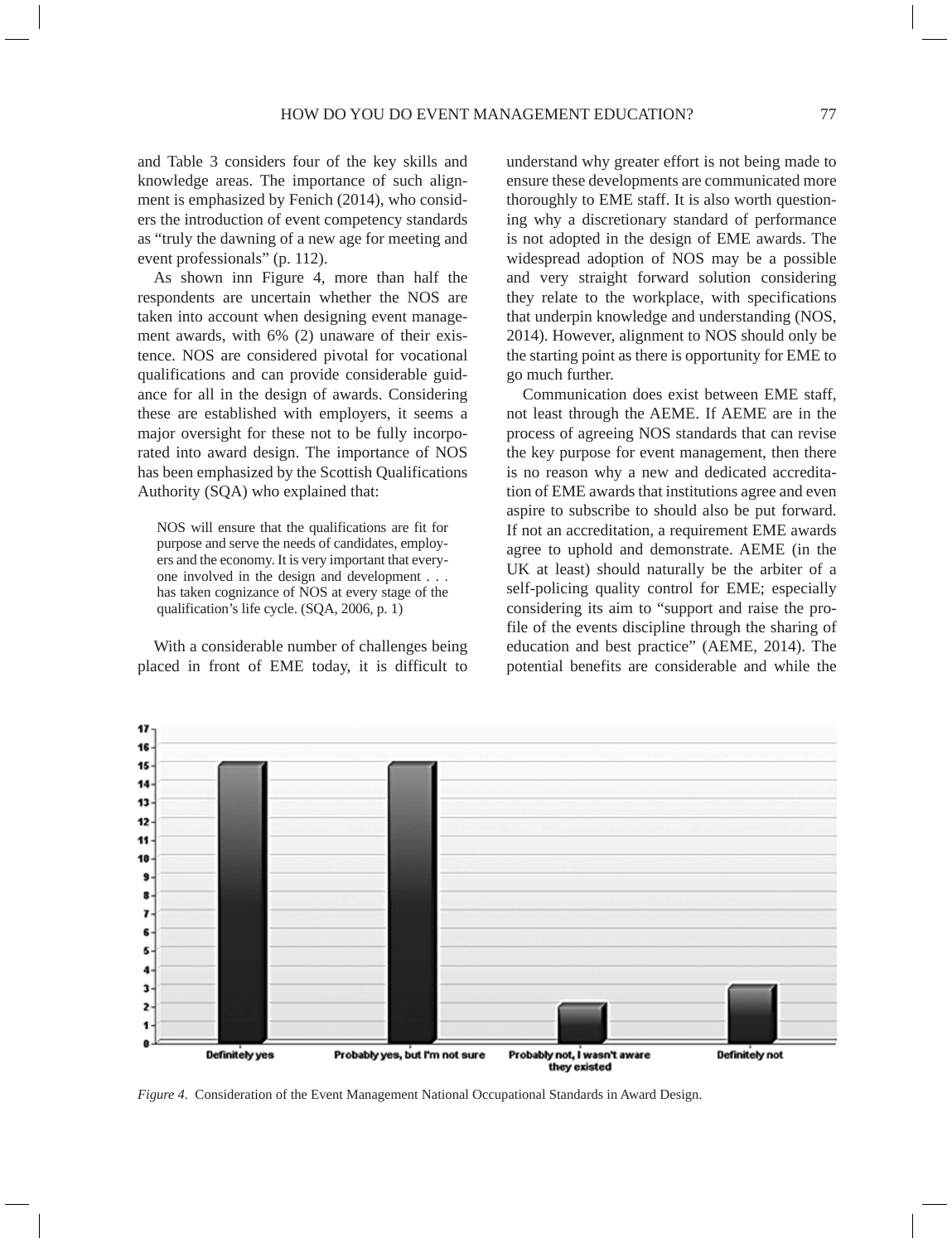and Table 3 considers four of the key skills and knowledge areas. The importance of such alignment is emphasized by Fenich (2014), who considers the introduction of event competency standards as "truly the dawning of a new age for meeting and event professionals" (p. 112).

As shown inn Figure 4, more than half the respondents are uncertain whether the NOS are taken into account when designing event management awards, with 6% (2) unaware of their existence. NOS are considered pivotal for vocational qualifications and can provide considerable guidance for all in the design of awards. Considering these are established with employers, it seems a major oversight for these not to be fully incorporated into award design. The importance of NOS has been emphasized by the Scottish Qualifications Authority (SQA) who explained that:

NOS will ensure that the qualifications are fit for purpose and serve the needs of candidates, employers and the economy. It is very important that everyone involved in the design and development . . . has taken cognizance of NOS at every stage of the qualification's life cycle. (SQA, 2006, p. 1)

With a considerable number of challenges being placed in front of EME today, it is difficult to understand why greater effort is not being made to ensure these developments are communicated more thoroughly to EME staff. It is also worth questioning why a discretionary standard of performance is not adopted in the design of EME awards. The widespread adoption of NOS may be a possible and very straight forward solution considering they relate to the workplace, with specifications that underpin knowledge and understanding (NOS, 2014). However, alignment to NOS should only be the starting point as there is opportunity for EME to go much further.

Communication does exist between EME staff, not least through the AEME. If AEME are in the process of agreeing NOS standards that can revise the key purpose for event management, then there is no reason why a new and dedicated accreditation of EME awards that institutions agree and even aspire to subscribe to should also be put forward. If not an accreditation, a requirement EME awards agree to uphold and demonstrate. AEME (in the UK at least) should naturally be the arbiter of a self-policing quality control for EME; especially considering its aim to "support and raise the profile of the events discipline through the sharing of education and best practice" (AEME, 2014). The potential benefits are considerable and while the



*Figure 4.* Consideration of the Event Management National Occupational Standards in Award Design.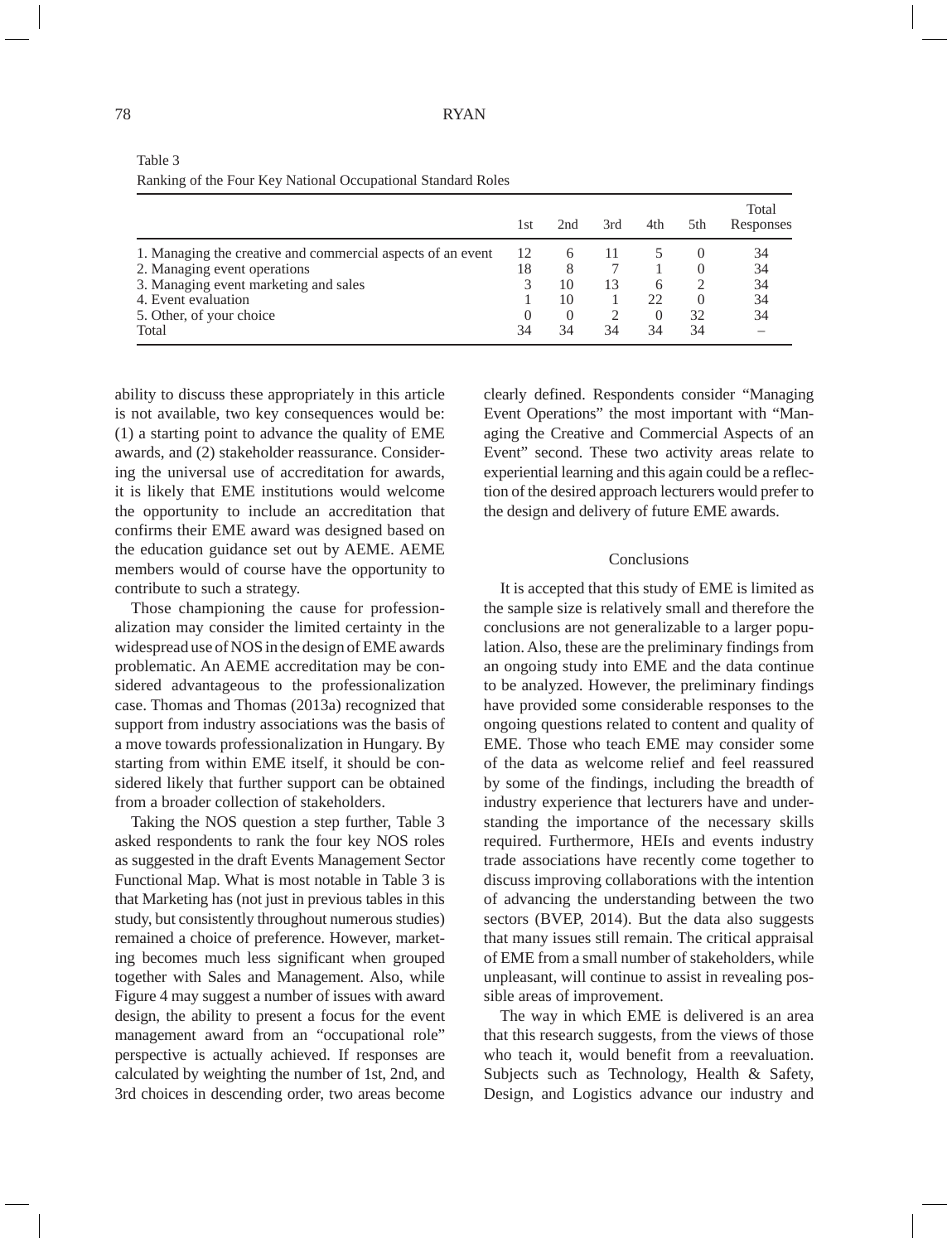|                                                             | 1st | 2nd | 3rd | 4th      | 5th | Total<br>Responses |
|-------------------------------------------------------------|-----|-----|-----|----------|-----|--------------------|
| 1. Managing the creative and commercial aspects of an event | 12  |     | 11  |          |     | 34                 |
| 2. Managing event operations                                | 18  | 8   |     |          |     | 34                 |
| 3. Managing event marketing and sales                       |     | 10  | 13  | h        |     | 34                 |
| 4. Event evaluation                                         |     | 10  |     | つつ       |     | 34                 |
| 5. Other, of your choice                                    |     |     |     | $\theta$ | 32  | 34                 |
| Total                                                       | 34  | 34  | 34  | 34       | 34  |                    |

Table 3 Ranking of the Four Key National Occupational Standard Roles

ability to discuss these appropriately in this article is not available, two key consequences would be: (1) a starting point to advance the quality of EME awards, and (2) stakeholder reassurance. Considering the universal use of accreditation for awards, it is likely that EME institutions would welcome the opportunity to include an accreditation that confirms their EME award was designed based on the education guidance set out by AEME. AEME members would of course have the opportunity to contribute to such a strategy.

Those championing the cause for professionalization may consider the limited certainty in the widespread use of NOS in the design of EME awards problematic. An AEME accreditation may be considered advantageous to the professionalization case. Thomas and Thomas (2013a) recognized that support from industry associations was the basis of a move towards professionalization in Hungary. By starting from within EME itself, it should be considered likely that further support can be obtained from a broader collection of stakeholders.

Taking the NOS question a step further, Table 3 asked respondents to rank the four key NOS roles as suggested in the draft Events Management Sector Functional Map. What is most notable in Table 3 is that Marketing has (not just in previous tables in this study, but consistently throughout numerous studies) remained a choice of preference. However, marketing becomes much less significant when grouped together with Sales and Management. Also, while Figure 4 may suggest a number of issues with award design, the ability to present a focus for the event management award from an "occupational role" perspective is actually achieved. If responses are calculated by weighting the number of 1st, 2nd, and 3rd choices in descending order, two areas become

clearly defined. Respondents consider "Managing Event Operations" the most important with "Managing the Creative and Commercial Aspects of an Event" second. These two activity areas relate to experiential learning and this again could be a reflection of the desired approach lecturers would prefer to the design and delivery of future EME awards.

#### **Conclusions**

It is accepted that this study of EME is limited as the sample size is relatively small and therefore the conclusions are not generalizable to a larger population. Also, these are the preliminary findings from an ongoing study into EME and the data continue to be analyzed. However, the preliminary findings have provided some considerable responses to the ongoing questions related to content and quality of EME. Those who teach EME may consider some of the data as welcome relief and feel reassured by some of the findings, including the breadth of industry experience that lecturers have and understanding the importance of the necessary skills required. Furthermore, HEIs and events industry trade associations have recently come together to discuss improving collaborations with the intention of advancing the understanding between the two sectors (BVEP, 2014). But the data also suggests that many issues still remain. The critical appraisal of EME from a small number of stakeholders, while unpleasant, will continue to assist in revealing possible areas of improvement.

The way in which EME is delivered is an area that this research suggests, from the views of those who teach it, would benefit from a reevaluation. Subjects such as Technology, Health & Safety, Design, and Logistics advance our industry and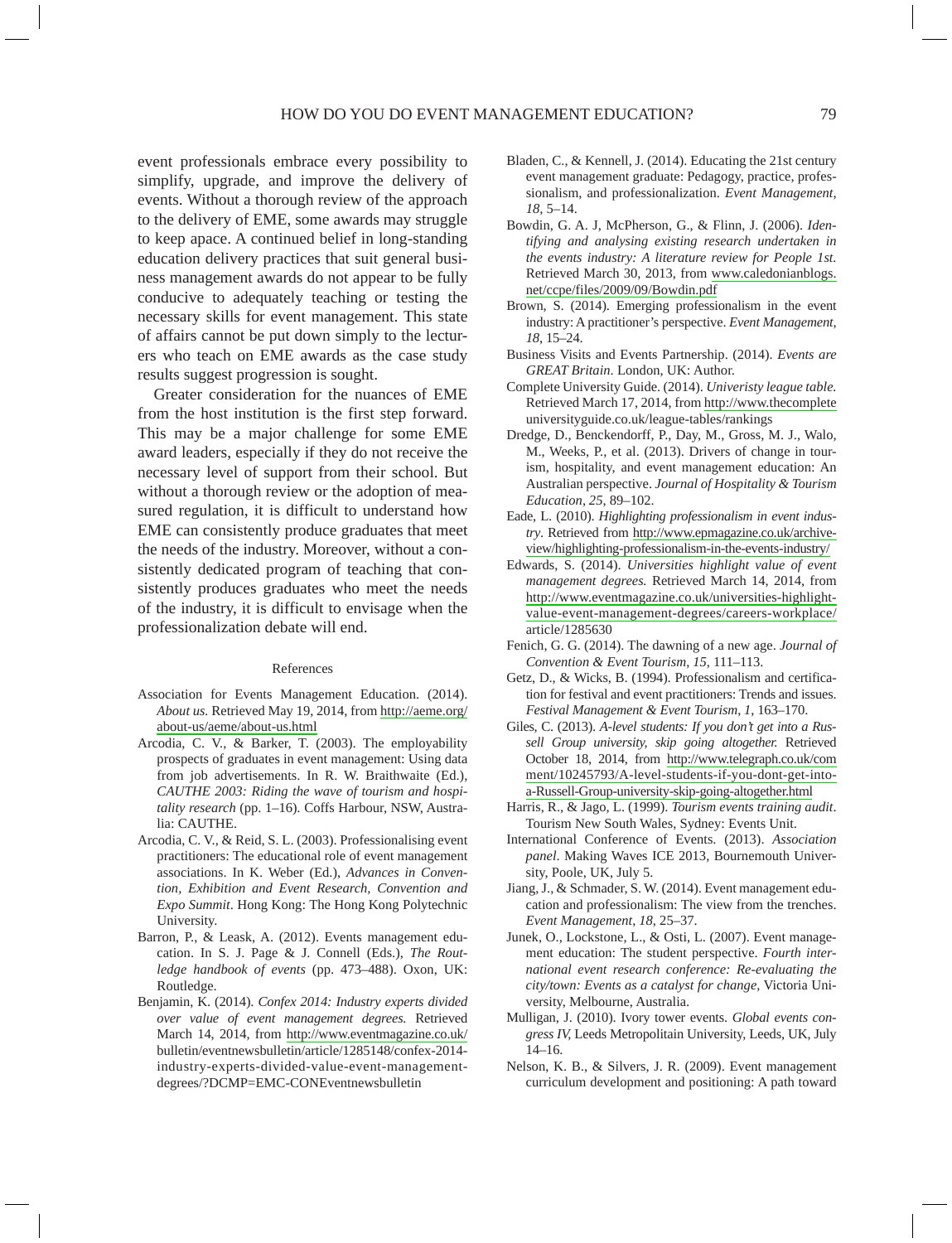event professionals embrace every possibility to simplify, upgrade, and improve the delivery of events. Without a thorough review of the approach to the delivery of EME, some awards may struggle to keep apace. A continued belief in long-standing education delivery practices that suit general business management awards do not appear to be fully conducive to adequately teaching or testing the necessary skills for event management. This state of affairs cannot be put down simply to the lecturers who teach on EME awards as the case study results suggest progression is sought.

Greater consideration for the nuances of EME from the host institution is the first step forward. This may be a major challenge for some EME award leaders, especially if they do not receive the necessary level of support from their school. But without a thorough review or the adoption of measured regulation, it is difficult to understand how EME can consistently produce graduates that meet the needs of the industry. Moreover, without a consistently dedicated program of teaching that consistently produces graduates who meet the needs of the industry, it is difficult to envisage when the professionalization debate will end.

#### References

- Association for Events Management Education. (2014). *About us.* Retrieved May 19, 2014, from [http://aeme.org/](http://aeme.org/about-us/aeme/about-us.html) [about-us/aeme/about-us.html](http://aeme.org/about-us/aeme/about-us.html)
- Arcodia, C. V., & Barker, T. (2003). The employability prospects of graduates in event management: Using data from job advertisements. In R. W. Braithwaite (Ed.), *CAUTHE 2003: Riding the wave of tourism and hospitality research* (pp. 1–16)*.* Coffs Harbour, NSW, Australia: CAUTHE.
- Arcodia, C. V., & Reid, S. L. (2003). Professionalising event practitioners: The educational role of event management associations. In K. Weber (Ed.), *Advances in Convention, Exhibition and Event Research, Convention and Expo Summit*. Hong Kong: The Hong Kong Polytechnic University.
- Barron, P., & Leask, A. (2012). Events management education. In S. J. Page & J. Connell (Eds.), *The Routledge handbook of events* (pp. 473–488). Oxon, UK: Routledge.
- Benjamin, K. (2014). *Confex 2014: Industry experts divided over value of event management degrees.* Retrieved March 14, 2014, from <http://www.eventmagazine.co.uk/> bulletin/eventnewsbulletin/article/1285148/confex-2014 industry-experts-divided-value-event-managementdegrees/?DCMP=EMC-CONEventnewsbulletin
- Bladen, C., & Kennell, J. (2014). Educating the 21st century event management graduate: Pedagogy, practice, professionalism, and professionalization. *Event Management*, *18,* 5–14.
- Bowdin, G. A. J, McPherson, G., & Flinn, J. (2006). *Identifying and analysing existing research undertaken in the events industry: A literature review for People 1st.*  Retrieved March 30, 2013, from [www.caledonianblogs.](http://www.caledonianblogs.net/ccpe/files/2009/09/Bowdin.pdf) [net/ccpe/files/2009/09/Bowdin.pdf](http://www.caledonianblogs.net/ccpe/files/2009/09/Bowdin.pdf)
- Brown, S. (2014). Emerging professionalism in the event industry: A practitioner's perspective. *Event Management*, *18*, 15–24.
- Business Visits and Events Partnership. (2014). *Events are GREAT Britain*. London, UK: Author.
- Complete University Guide. (2014). *Univeristy league table.*  Retrieved March 17, 2014, from<http://www.thecomplete> universityguide.co.uk/league-tables/rankings
- Dredge, D., Benckendorff, P., Day, M., Gross, M. J., Walo, M., Weeks, P., et al. (2013). Drivers of change in tourism, hospitality, and event management education: An Australian perspective. *Journal of Hospitality & Tourism Education*, *25*, 89–102.
- Eade, L. (2010). *Highlighting professionalism in event industry*. Retrieved from [http://www.epmagazine.co.uk/archive](http://www.epmagazine.co.uk/archive-view/highlighting-professionalism-in-the-events-industry/)[view/highlighting-professionalism-in-the-events-industry/](http://www.epmagazine.co.uk/archive-view/highlighting-professionalism-in-the-events-industry/)
- Edwards, S. (2014). *Universities highlight value of event management degrees.* Retrieved March 14, 2014, from [http://www.eventmagazine.co.uk/universities-highlight](http://www.eventmagazine.co.uk/universities-highlight-value-event-management-degrees/careers-workplace/)[value-event-management-degrees/careers-workplace/](http://www.eventmagazine.co.uk/universities-highlight-value-event-management-degrees/careers-workplace/) article/1285630
- Fenich, G. G. (2014). The dawning of a new age. *Journal of Convention & Event Tourism*, *15*, 111–113.
- Getz, D., & Wicks, B. (1994). Professionalism and certification for festival and event practitioners: Trends and issues. *Festival Management & Event Tourism*, *1*, 163–170.
- Giles, C. (2013). *A-level students: If you don't get into a Russell Group university, skip going altogether.* Retrieved October 18, 2014, from [http://www.telegraph.co.uk/com](http://www.telegraph.co.uk/comment/10245793/A-level-students-if-you-dont-get-into-a-Russell-Group-university-skip-going-altogether.html) [ment/10245793/A-level-students-if-you-dont-get-into](http://www.telegraph.co.uk/comment/10245793/A-level-students-if-you-dont-get-into-a-Russell-Group-university-skip-going-altogether.html)[a-Russell-Group-university-skip-going-altogether.html](http://www.telegraph.co.uk/comment/10245793/A-level-students-if-you-dont-get-into-a-Russell-Group-university-skip-going-altogether.html)
- Harris, R., & Jago, L. (1999). *Tourism events training audit*. Tourism New South Wales, Sydney: Events Unit.
- International Conference of Events. (2013). *Association panel*. Making Waves ICE 2013, Bournemouth University, Poole, UK, July 5.
- Jiang, J., & Schmader, S. W. (2014). Event management education and professionalism: The view from the trenches. *Event Management*, *18*, 25–37.
- Junek, O., Lockstone, L., & Osti, L. (2007). Event management education: The student perspective. *Fourth international event research conference: Re-evaluating the city/town: Events as a catalyst for change,* Victoria University, Melbourne, Australia.
- Mulligan, J. (2010). Ivory tower events. *Global events congress IV,* Leeds Metropolitain University, Leeds, UK, July 14–16.
- Nelson, K. B., & Silvers, J. R. (2009). Event management curriculum development and positioning: A path toward